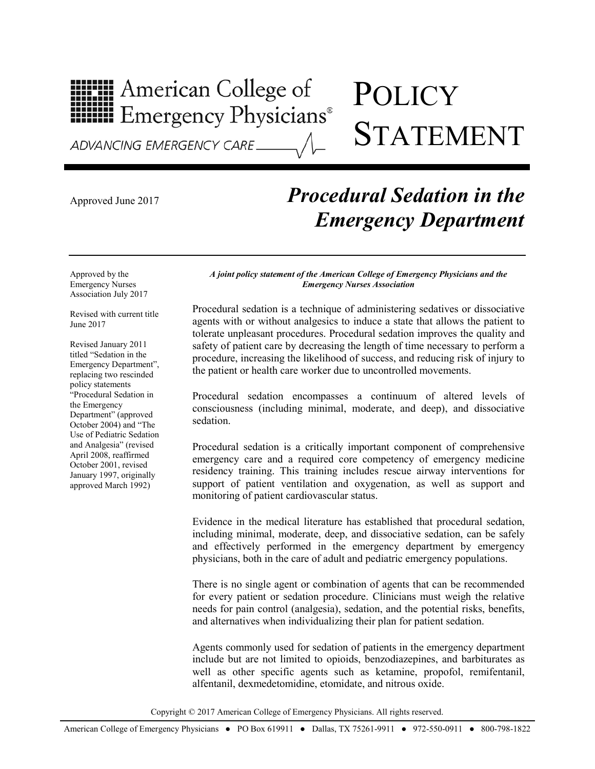## **HIPH American College of<br>HIPH Emergency Physicians®**

## **POLICY** STATEMENT

## Approved June 2017 *Procedural Sedation in the Emergency Department*

Approved by the Emergency Nurses Association July 2017

Revised with current title June 2017

Revised January 2011 titled "Sedation in the Emergency Department", replacing two rescinded policy statements "Procedural Sedation in the Emergency Department" (approved October 2004) and "The Use of Pediatric Sedation and Analgesia" (revised April 2008, reaffirmed October 2001, revised January 1997, originally approved March 1992)

*A joint policy statement of the American College of Emergency Physicians and the Emergency Nurses Association*

Procedural sedation is a technique of administering sedatives or dissociative agents with or without analgesics to induce a state that allows the patient to tolerate unpleasant procedures. Procedural sedation improves the quality and safety of patient care by decreasing the length of time necessary to perform a procedure, increasing the likelihood of success, and reducing risk of injury to the patient or health care worker due to uncontrolled movements.

Procedural sedation encompasses a continuum of altered levels of consciousness (including minimal, moderate, and deep), and dissociative sedation.

Procedural sedation is a critically important component of comprehensive emergency care and a required core competency of emergency medicine residency training. This training includes rescue airway interventions for support of patient ventilation and oxygenation, as well as support and monitoring of patient cardiovascular status.

Evidence in the medical literature has established that procedural sedation, including minimal, moderate, deep, and dissociative sedation, can be safely and effectively performed in the emergency department by emergency physicians, both in the care of adult and pediatric emergency populations.

There is no single agent or combination of agents that can be recommended for every patient or sedation procedure. Clinicians must weigh the relative needs for pain control (analgesia), sedation, and the potential risks, benefits, and alternatives when individualizing their plan for patient sedation.

Agents commonly used for sedation of patients in the emergency department include but are not limited to opioids, benzodiazepines, and barbiturates as well as other specific agents such as ketamine, propofol, remifentanil, alfentanil, dexmedetomidine, etomidate, and nitrous oxide.

Copyright © 2017 American College of Emergency Physicians. All rights reserved.